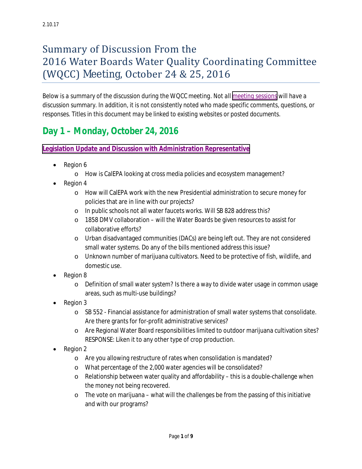# Summary of Discussion From the 2016 Water Boards Water Quality Coordinating Committee (WQCC) Meeting, October 24 & 25, 2016

*Below is a summary of the discussion during the WQCC meeting. Not all [meeting sessions](http://www.waterboards.ca.gov/board_reference/2016fall/) will have a discussion summary. In addition, it is not consistently noted who made specific comments, questions, or responses. Titles in this document may be linked to existing websites or posted documents.* 

# **Day 1 – Monday, October 24, 2016**

### **[Legislation Update and Discussion with Administration Representative](http://www.waterboards.ca.gov/board_reference/2016fall/)**

- Region 6
	- o How is CalEPA looking at cross media policies and ecosystem management?
- Region 4
	- o How will CalEPA work with the new Presidential administration to secure money for policies that are in line with our projects?
	- o In public schools not all water faucets works. Will SB 828 address this?
	- o 1858 DMV collaboration will the Water Boards be given resources to assist for collaborative efforts?
	- o Urban disadvantaged communities (DACs) are being left out. They are not considered small water systems. Do any of the bills mentioned address this issue?
	- o Unknown number of marijuana cultivators. Need to be protective of fish, wildlife, and domestic use.
- Region 8
	- o Definition of small water system? Is there a way to divide water usage in common usage areas, such as multi-use buildings?
- Region 3
	- o SB 552 Financial assistance for administration of small water systems that consolidate. Are there grants for for-profit administrative services?
	- o Are Regional Water Board responsibilities limited to outdoor marijuana cultivation sites? RESPONSE: Liken it to any other type of crop production.
- Region 2
	- o Are you allowing restructure of rates when consolidation is mandated?
	- o What percentage of the 2,000 water agencies will be consolidated?
	- $\circ$  Relationship between water quality and affordability this is a double-challenge when the money not being recovered.
	- $\circ$  The vote on marijuana what will the challenges be from the passing of this initiative and with our programs?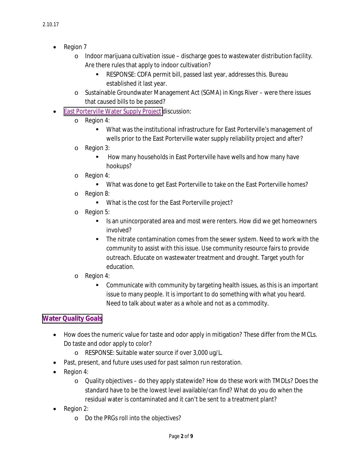- Region 7
	- $\circ$  Indoor marijuana cultivation issue discharge goes to wastewater distribution facility. Are there rules that apply to indoor cultivation?
		- RESPONSE: CDFA permit bill, passed last year, addresses this. Bureau established it last year.
	- o Sustainable Groundwater Management Act (SGMA) in Kings River were there issues that caused bills to be passed?
- [East Porterville Water Supply Project](http://www.water.ca.gov/waterconditions/porterville.cfm) discussion:
	- o Region 4:
		- What was the institutional infrastructure for East Porterville's management of wells prior to the East Porterville water supply reliability project and after?
	- o Region 3:
		- How many households in East Porterville have wells and how many have hookups?
	- o Region 4:
		- What was done to get East Porterville to take on the East Porterville homes?
	- o Region 8:
		- What is the cost for the East Porterville project?
	- o Region 5:
		- Is an unincorporated area and most were renters. How did we get homeowners involved?
		- The nitrate contamination comes from the sewer system. Need to work with the community to assist with this issue. Use community resource fairs to provide outreach. Educate on wastewater treatment and drought. Target youth for education.
	- o Region 4:
		- Communicate with community by targeting health issues, as this is an important issue to many people. It is important to do something with what you heard. Need to talk about water as a whole and not as a commodity.

### **[Water Quality Goals](http://www.waterboards.ca.gov/board_reference/2016fall/)**

- How does the numeric value for taste and odor apply in mitigation? These differ from the MCLs. Do taste and odor apply to color?
	- o RESPONSE: Suitable water source if over 3,000 ug/L.
- Past, present, and future uses used for past salmon run restoration.
- Region 4:
	- o Quality objectives do they apply statewide? How do these work with TMDLs? Does the standard have to be the lowest level available/can find? What do you do when the residual water is contaminated and it can't be sent to a treatment plant?
- Region 2:
	- o Do the PRGs roll into the objectives?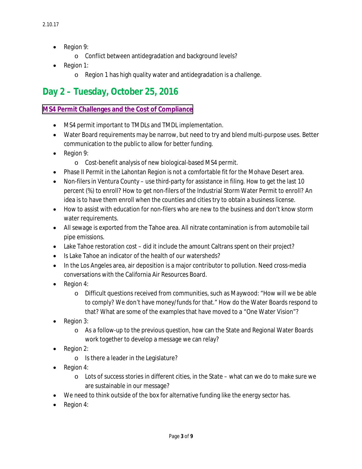- Region 9:
	- o Conflict between antidegradation and background levels?
- Region 1:
	- o Region 1 has high quality water and antidegradation is a challenge.

# **Day 2 – Tuesday, October 25, 2016**

#### **[MS4 Permit Challenges and the Cost of Compliance](http://www.waterboards.ca.gov/board_reference/2016fall/)**

- MS4 permit important to TMDLs and TMDL implementation.
- Water Board requirements may be narrow, but need to try and blend multi-purpose uses. Better communication to the public to allow for better funding.
- Region 9:
	- o Cost-benefit analysis of new biological-based MS4 permit.
- Phase II Permit in the Lahontan Region is not a comfortable fit for the Mohave Desert area.
- Non-filers in Ventura County use third-party for assistance in filing. How to get the last 10 percent (%) to enroll? How to get non-filers of the Industrial Storm Water Permit to enroll? An idea is to have them enroll when the counties and cities try to obtain a business license.
- How to assist with education for non-filers who are new to the business and don't know storm water requirements.
- All sewage is exported from the Tahoe area. All nitrate contamination is from automobile tail pipe emissions.
- Lake Tahoe restoration cost did it include the amount Caltrans spent on their project?
- Is Lake Tahoe an indicator of the health of our watersheds?
- In the Los Angeles area, air deposition is a major contributor to pollution. Need cross-media conversations with the California Air Resources Board.
- Region 4:
	- o Difficult questions received from communities, such as Maywood: "How will we be able to comply? We don't have money/funds for that." How do the Water Boards respond to that? What are some of the examples that have moved to a "One Water Vision"?
- Region 3:
	- o As a follow-up to the previous question, how can the State and Regional Water Boards work together to develop a message we can relay?
- Region 2:
	- o Is there a leader in the Legislature?
- Region 4:
	- $\circ$  Lots of success stories in different cities, in the State what can we do to make sure we are sustainable in our message?
- We need to think outside of the box for alternative funding like the energy sector has.
- Region 4: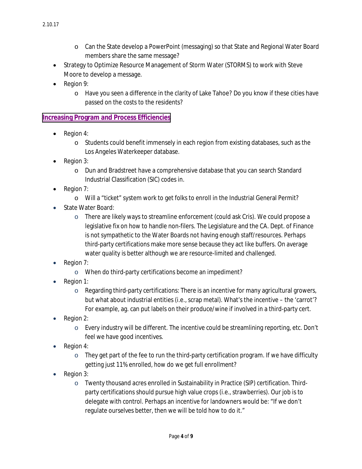- o Can the State develop a PowerPoint (messaging) so that State and Regional Water Board members share the same message?
- Strategy to Optimize Resource Management of Storm Water (STORMS) to work with Steve Moore to develop a message.
- Region 9:
	- o Have you seen a difference in the clarity of Lake Tahoe? Do you know if these cities have passed on the costs to the residents?

### **[Increasing Program and Process Efficiencies](http://www.waterboards.ca.gov/board_reference/2016fall/)**

- Region 4:
	- o Students could benefit immensely in each region from existing databases, such as the Los Angeles Waterkeeper database.
- Region 3:
	- o Dun and Bradstreet have a comprehensive database that you can search Standard Industrial Classification (SIC) codes in.
- Region 7:
	- o Will a "ticket" system work to get folks to enroll in the Industrial General Permit?
- State Water Board:
	- $\circ$  There are likely ways to streamline enforcement (could ask Cris). We could propose a legislative fix on how to handle non-filers. The Legislature and the CA. Dept. of Finance is not sympathetic to the Water Boards not having enough staff/resources. Perhaps third-party certifications make more sense because they act like buffers. On average water quality is better although we are resource-limited and challenged.
- Region 7:
	- o When do third-party certifications become an impediment?
- Region 1:
	- $\circ$  Regarding third-party certifications: There is an incentive for many agricultural growers, but what about industrial entities (i.e., scrap metal). What's the incentive – the 'carrot'? For example, ag. can put labels on their produce/wine if involved in a third-party cert.
- Region 2:
	- $\circ$  Every industry will be different. The incentive could be streamlining reporting, etc. Don't feel we have good incentives.
- Region 4:
	- $\circ$  They get part of the fee to run the third-party certification program. If we have difficulty getting just 11% enrolled, how do we get full enrollment?
- Region 3:
	- $\circ$  Twenty thousand acres enrolled in Sustainability in Practice (SIP) certification. Thirdparty certifications should pursue high value crops (i.e., strawberries). Our job is to delegate with control. Perhaps an incentive for landowners would be: "If we don't regulate ourselves better, then we will be told how to do it."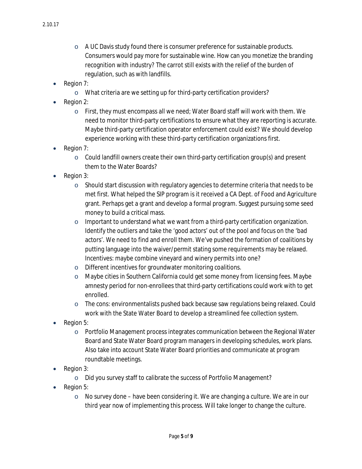- $\circ$  A UC Davis study found there is consumer preference for sustainable products. Consumers would pay more for sustainable wine. How can you monetize the branding recognition with industry? The carrot still exists with the relief of the burden of regulation, such as with landfills.
- Region 7:
	- o What criteria are we setting up for third-party certification providers?
- Region 2:
	- $\circ$  First, they must encompass all we need; Water Board staff will work with them. We need to monitor third-party certifications to ensure what they are reporting is accurate. Maybe third-party certification operator enforcement could exist? We should develop experience working with these third-party certification organizations first.
- Region 7:
	- $\circ$  Could landfill owners create their own third-party certification group(s) and present them to the Water Boards?
- Region 3:
	- o Should start discussion with regulatory agencies to determine criteria that needs to be met first. What helped the SIP program is it received a CA Dept. of Food and Agriculture grant. Perhaps get a grant and develop a formal program. Suggest pursuing some seed money to build a critical mass.
	- $\circ$  Important to understand what we want from a third-party certification organization. Identify the outliers and take the 'good actors' out of the pool and focus on the 'bad actors'. We need to find and enroll them. We've pushed the formation of coalitions by putting language into the waiver/permit stating some requirements may be relaxed. Incentives: maybe combine vineyard and winery permits into one?
	- o Different incentives for groundwater monitoring coalitions.
	- o Maybe cities in Southern California could get some money from licensing fees. Maybe amnesty period for non-enrollees that third-party certifications could work with to get enrolled.
	- o The cons: environmentalists pushed back because saw regulations being relaxed. Could work with the State Water Board to develop a streamlined fee collection system.
- Region 5:
	- $\circ$  Portfolio Management process integrates communication between the Regional Water Board and State Water Board program managers in developing schedules, work plans. Also take into account State Water Board priorities and communicate at program roundtable meetings.
- Region 3:
	- o Did you survey staff to calibrate the success of Portfolio Management?
- Region 5:
	- $\circ$  No survey done have been considering it. We are changing a culture. We are in our third year now of implementing this process. Will take longer to change the culture.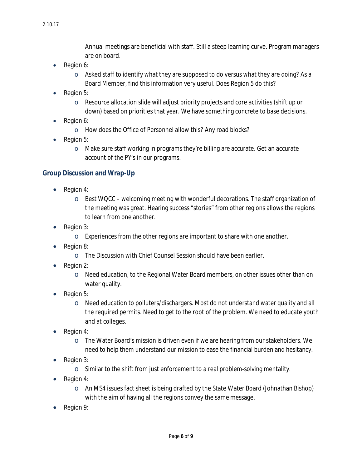Annual meetings are beneficial with staff. Still a steep learning curve. Program managers are on board.

- Region 6:
	- $\circ$  Asked staff to identify what they are supposed to do versus what they are doing? As a Board Member, find this information very useful. Does Region 5 do this?
- Region 5:
	- $\circ$  Resource allocation slide will adjust priority projects and core activities (shift up or down) based on priorities that year. We have something concrete to base decisions.
- Region 6:
	- o How does the Office of Personnel allow this? Any road blocks?
- Region 5:
	- $\circ$  Make sure staff working in programs they're billing are accurate. Get an accurate account of the PY's in our programs.

#### **Group Discussion and Wrap-Up**

- Region 4:
	- $\circ$  Best WQCC welcoming meeting with wonderful decorations. The staff organization of the meeting was great. Hearing success "stories" from other regions allows the regions to learn from one another.
- Region 3:
	- o Experiences from the other regions are important to share with one another.
- Region 8:
	- o The Discussion with Chief Counsel Session should have been earlier.
- Region 2:
	- o Need education, to the Regional Water Board members, on other issues other than on water quality.
- Region 5:
	- o Need education to polluters/dischargers. Most do not understand water quality and all the required permits. Need to get to the root of the problem. We need to educate youth and at colleges.
- Region 4:
	- o The Water Board's mission is driven even if we are hearing from our stakeholders. We need to help them understand our mission to ease the financial burden and hesitancy.
- Region 3:
	- o Similar to the shift from just enforcement to a real problem-solving mentality.
- Region 4:
	- o An MS4 issues fact sheet is being drafted by the State Water Board (Johnathan Bishop) with the aim of having all the regions convey the same message.
- Region 9: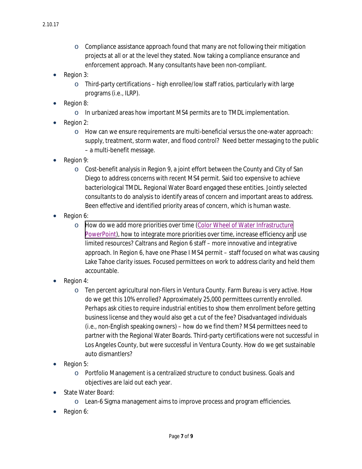- $\circ$  Compliance assistance approach found that many are not following their mitigation projects at all or at the level they stated. Now taking a compliance ensurance and enforcement approach. Many consultants have been non-compliant.
- Region 3:
	- o Third-party certifications high enrollee/low staff ratios, particularly with large programs (i.e., ILRP).
- Region 8:
	- o In urbanized areas how important MS4 permits are to TMDL implementation.
- Region 2:
	- $\circ$  How can we ensure requirements are multi-beneficial versus the one-water approach: supply, treatment, storm water, and flood control? Need better messaging to the public – a multi-benefit message.
- Region 9:
	- $\circ$  Cost-benefit analysis in Region 9, a joint effort between the County and City of San Diego to address concerns with recent MS4 permit. Said too expensive to achieve bacteriological TMDL. Regional Water Board engaged these entities. Jointly selected consultants to do analysis to identify areas of concern and important areas to address. Been effective and identified priority areas of concern, which is human waste.
- Region 6:
	- o [How do we add more priorities over time \(Color Wheel of Water Infrastructure](http://www.waterboards.ca.gov/board_reference/2016fall/) PowerPoint), how to integrate more priorities over time, increase efficiency and use limited resources? Caltrans and Region 6 staff – more innovative and integrative approach. In Region 6, have one Phase I MS4 permit – staff focused on what was causing Lake Tahoe clarity issues. Focused permittees on work to address clarity and held them accountable.
- Region 4:
	- o Ten percent agricultural non-filers in Ventura County. Farm Bureau is very active. How do we get this 10% enrolled? Approximately 25,000 permittees currently enrolled. Perhaps ask cities to require industrial entities to show them enrollment before getting business license and they would also get a cut of the fee? Disadvantaged individuals (i.e., non-English speaking owners) – how do we find them? MS4 permittees need to partner with the Regional Water Boards. Third-party certifications were not successful in Los Angeles County, but were successful in Ventura County. How do we get sustainable auto dismantlers?
- Region 5:
	- o Portfolio Management is a centralized structure to conduct business. Goals and objectives are laid out each year.
- State Water Board:
	- o Lean-6 Sigma management aims to improve process and program efficiencies.
- Region 6: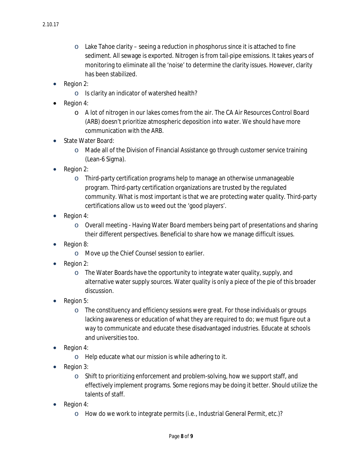- $\circ$  Lake Tahoe clarity seeing a reduction in phosphorus since it is attached to fine sediment. All sewage is exported. Nitrogen is from tail-pipe emissions. It takes years of monitoring to eliminate all the 'noise' to determine the clarity issues. However, clarity has been stabilized.
- Region 2:
	- o Is clarity an indicator of watershed health?
- Region 4:
	- o A lot of nitrogen in our lakes comes from the air. The CA Air Resources Control Board (ARB) doesn't prioritize atmospheric deposition into water. We should have more communication with the ARB.
- State Water Board:
	- o Made all of the Division of Financial Assistance go through customer service training (Lean-6 Sigma).
- Region 2:
	- o Third-party certification programs help to manage an otherwise unmanageable program. Third-party certification organizations are trusted by the regulated community. What is most important is that we are protecting water quality. Third-party certifications allow us to weed out the 'good players'.
- Region 4:
	- o Overall meeting Having Water Board members being part of presentations and sharing their different perspectives. Beneficial to share how we manage difficult issues.
- Region 8:
	- o Move up the Chief Counsel session to earlier.
- Region 2:
	- o The Water Boards have the opportunity to integrate water quality, supply, and alternative water supply sources. Water quality is only a piece of the pie of this broader discussion.
- Region 5:
	- $\circ$  The constituency and efficiency sessions were great. For those individuals or groups lacking awareness or education of what they are required to do; we must figure out a way to communicate and educate these disadvantaged industries. Educate at schools and universities too.
- Region 4:
	- o Help educate what our mission is while adhering to it.
- Region 3:
	- $\circ$  Shift to prioritizing enforcement and problem-solving, how we support staff, and effectively implement programs. Some regions may be doing it better. Should utilize the talents of staff.
- Region 4:
	- o How do we work to integrate permits (i.e., Industrial General Permit, etc.)?